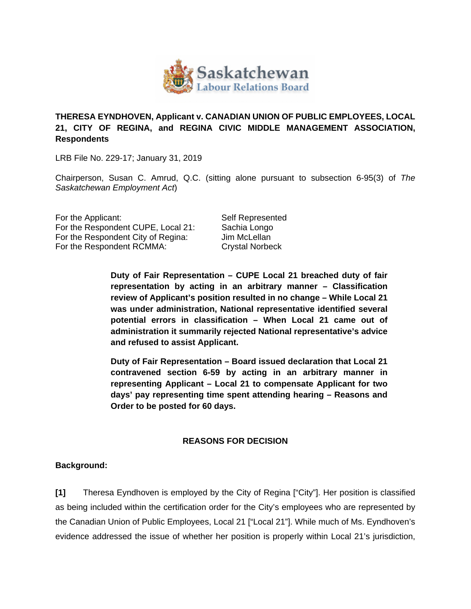

## **THERESA EYNDHOVEN, Applicant v. CANADIAN UNION OF PUBLIC EMPLOYEES, LOCAL 21, CITY OF REGINA, and REGINA CIVIC MIDDLE MANAGEMENT ASSOCIATION, Respondents**

LRB File No. 229-17; January 31, 2019

Chairperson, Susan C. Amrud, Q.C. (sitting alone pursuant to subsection 6-95(3) of *The Saskatchewan Employment Act*)

For the Applicant: Self Represented For the Respondent CUPE, Local 21: Sachia Longo For the Respondent City of Regina: Jim McLellan For the Respondent RCMMA: Crystal Norbeck

**Duty of Fair Representation – CUPE Local 21 breached duty of fair representation by acting in an arbitrary manner – Classification review of Applicant's position resulted in no change – While Local 21 was under administration, National representative identified several potential errors in classification – When Local 21 came out of administration it summarily rejected National representative's advice and refused to assist Applicant.** 

**Duty of Fair Representation – Board issued declaration that Local 21 contravened section 6-59 by acting in an arbitrary manner in representing Applicant – Local 21 to compensate Applicant for two days' pay representing time spent attending hearing – Reasons and Order to be posted for 60 days.** 

## **REASONS FOR DECISION**

## **Background:**

**[1]** Theresa Eyndhoven is employed by the City of Regina ["City"]. Her position is classified as being included within the certification order for the City's employees who are represented by the Canadian Union of Public Employees, Local 21 ["Local 21"]. While much of Ms. Eyndhoven's evidence addressed the issue of whether her position is properly within Local 21's jurisdiction,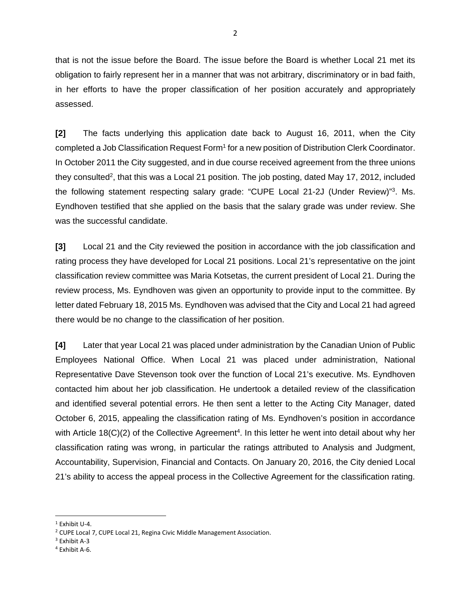that is not the issue before the Board. The issue before the Board is whether Local 21 met its obligation to fairly represent her in a manner that was not arbitrary, discriminatory or in bad faith, in her efforts to have the proper classification of her position accurately and appropriately assessed.

**[2]** The facts underlying this application date back to August 16, 2011, when the City completed a Job Classification Request Form<sup>1</sup> for a new position of Distribution Clerk Coordinator. In October 2011 the City suggested, and in due course received agreement from the three unions they consulted<sup>2</sup>, that this was a Local 21 position. The job posting, dated May 17, 2012, included the following statement respecting salary grade: "CUPE Local 21-2J (Under Review)"3. Ms. Eyndhoven testified that she applied on the basis that the salary grade was under review. She was the successful candidate.

**[3]** Local 21 and the City reviewed the position in accordance with the job classification and rating process they have developed for Local 21 positions. Local 21's representative on the joint classification review committee was Maria Kotsetas, the current president of Local 21. During the review process, Ms. Eyndhoven was given an opportunity to provide input to the committee. By letter dated February 18, 2015 Ms. Eyndhoven was advised that the City and Local 21 had agreed there would be no change to the classification of her position.

**[4]** Later that year Local 21 was placed under administration by the Canadian Union of Public Employees National Office. When Local 21 was placed under administration, National Representative Dave Stevenson took over the function of Local 21's executive. Ms. Eyndhoven contacted him about her job classification. He undertook a detailed review of the classification and identified several potential errors. He then sent a letter to the Acting City Manager, dated October 6, 2015, appealing the classification rating of Ms. Eyndhoven's position in accordance with Article 18( $C$ )(2) of the Collective Agreement<sup>4</sup>. In this letter he went into detail about why her classification rating was wrong, in particular the ratings attributed to Analysis and Judgment, Accountability, Supervision, Financial and Contacts. On January 20, 2016, the City denied Local 21's ability to access the appeal process in the Collective Agreement for the classification rating.

 $1$  Exhibit U-4.

<sup>2</sup> CUPE Local 7, CUPE Local 21, Regina Civic Middle Management Association.

<sup>3</sup> Exhibit A‐3

<sup>4</sup> Exhibit A‐6.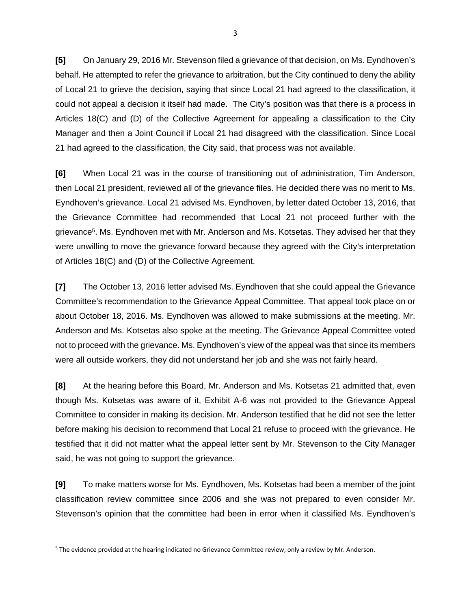**[5]** On January 29, 2016 Mr. Stevenson filed a grievance of that decision, on Ms. Eyndhoven's behalf. He attempted to refer the grievance to arbitration, but the City continued to deny the ability of Local 21 to grieve the decision, saying that since Local 21 had agreed to the classification, it could not appeal a decision it itself had made. The City's position was that there is a process in Articles 18(C) and (D) of the Collective Agreement for appealing a classification to the City Manager and then a Joint Council if Local 21 had disagreed with the classification. Since Local 21 had agreed to the classification, the City said, that process was not available.

**[6]** When Local 21 was in the course of transitioning out of administration, Tim Anderson, then Local 21 president, reviewed all of the grievance files. He decided there was no merit to Ms. Eyndhoven's grievance. Local 21 advised Ms. Eyndhoven, by letter dated October 13, 2016, that the Grievance Committee had recommended that Local 21 not proceed further with the grievance5. Ms. Eyndhoven met with Mr. Anderson and Ms. Kotsetas. They advised her that they were unwilling to move the grievance forward because they agreed with the City's interpretation of Articles 18(C) and (D) of the Collective Agreement.

**[7]** The October 13, 2016 letter advised Ms. Eyndhoven that she could appeal the Grievance Committee's recommendation to the Grievance Appeal Committee. That appeal took place on or about October 18, 2016. Ms. Eyndhoven was allowed to make submissions at the meeting. Mr. Anderson and Ms. Kotsetas also spoke at the meeting. The Grievance Appeal Committee voted not to proceed with the grievance. Ms. Eyndhoven's view of the appeal was that since its members were all outside workers, they did not understand her job and she was not fairly heard.

**[8]** At the hearing before this Board, Mr. Anderson and Ms. Kotsetas 21 admitted that, even though Ms. Kotsetas was aware of it, Exhibit A-6 was not provided to the Grievance Appeal Committee to consider in making its decision. Mr. Anderson testified that he did not see the letter before making his decision to recommend that Local 21 refuse to proceed with the grievance. He testified that it did not matter what the appeal letter sent by Mr. Stevenson to the City Manager said, he was not going to support the grievance.

**[9]** To make matters worse for Ms. Eyndhoven, Ms. Kotsetas had been a member of the joint classification review committee since 2006 and she was not prepared to even consider Mr. Stevenson's opinion that the committee had been in error when it classified Ms. Eyndhoven's

<sup>5</sup> The evidence provided at the hearing indicated no Grievance Committee review, only a review by Mr. Anderson.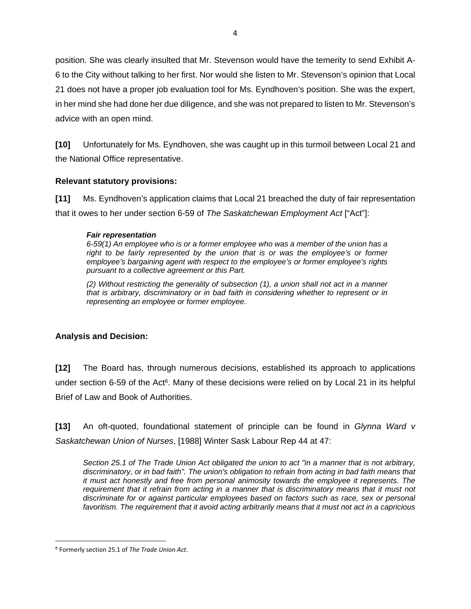position. She was clearly insulted that Mr. Stevenson would have the temerity to send Exhibit A-6 to the City without talking to her first. Nor would she listen to Mr. Stevenson's opinion that Local 21 does not have a proper job evaluation tool for Ms. Eyndhoven's position. She was the expert, in her mind she had done her due diligence, and she was not prepared to listen to Mr. Stevenson's advice with an open mind.

**[10]** Unfortunately for Ms. Eyndhoven, she was caught up in this turmoil between Local 21 and the National Office representative.

## **Relevant statutory provisions:**

**[11]** Ms. Eyndhoven's application claims that Local 21 breached the duty of fair representation that it owes to her under section 6-59 of *The Saskatchewan Employment Act* ["Act"]:

#### *Fair representation*

*6-59(1) An employee who is or a former employee who was a member of the union has a right to be fairly represented by the union that is or was the employee's or former employee's bargaining agent with respect to the employee's or former employee's rights pursuant to a collective agreement or this Part.* 

*(2) Without restricting the generality of subsection (1), a union shall not act in a manner that is arbitrary, discriminatory or in bad faith in considering whether to represent or in representing an employee or former employee.* 

# **Analysis and Decision:**

**[12]** The Board has, through numerous decisions, established its approach to applications under section 6-59 of the Act<sup>6</sup>. Many of these decisions were relied on by Local 21 in its helpful Brief of Law and Book of Authorities.

**[13]** An oft-quoted, foundational statement of principle can be found in *Glynna Ward v Saskatchewan Union of Nurses*, [1988] Winter Sask Labour Rep 44 at 47:

*Section 25.1 of The Trade Union Act obligated the union to act "in a manner that is not arbitrary, discriminatory, or in bad faith". The union's obligation to refrain from acting in bad faith means that it must act honestly and free from personal animosity towards the employee it represents. The requirement that it refrain from acting in a manner that is discriminatory means that it must not discriminate for or against particular employees based on factors such as race, sex or personal favoritism. The requirement that it avoid acting arbitrarily means that it must not act in a capricious* 

<sup>6</sup> Formerly section 25.1 of *The Trade Union Act*.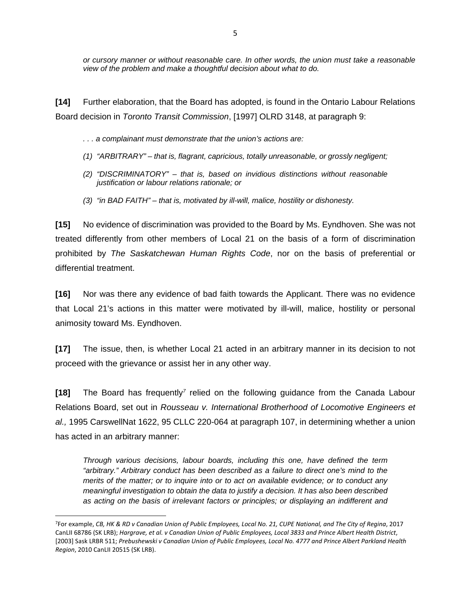*or cursory manner or without reasonable care. In other words, the union must take a reasonable view of the problem and make a thoughtful decision about what to do.* 

**[14]** Further elaboration, that the Board has adopted, is found in the Ontario Labour Relations Board decision in *Toronto Transit Commission*, [1997] OLRD 3148, at paragraph 9:

*. . . a complainant must demonstrate that the union's actions are:* 

- *(1) "ARBITRARY" that is, flagrant, capricious, totally unreasonable, or grossly negligent;*
- *(2) "DISCRIMINATORY" that is, based on invidious distinctions without reasonable justification or labour relations rationale; or*
- *(3) "in BAD FAITH" that is, motivated by ill-will, malice, hostility or dishonesty.*

**[15]** No evidence of discrimination was provided to the Board by Ms. Eyndhoven. She was not treated differently from other members of Local 21 on the basis of a form of discrimination prohibited by *The Saskatchewan Human Rights Code*, nor on the basis of preferential or differential treatment.

**[16]** Nor was there any evidence of bad faith towards the Applicant. There was no evidence that Local 21's actions in this matter were motivated by ill-will, malice, hostility or personal animosity toward Ms. Eyndhoven.

**[17]** The issue, then, is whether Local 21 acted in an arbitrary manner in its decision to not proceed with the grievance or assist her in any other way.

**[18]** The Board has frequently*7* relied on the following guidance from the Canada Labour Relations Board, set out in *Rousseau v. International Brotherhood of Locomotive Engineers et al.,* 1995 CarswellNat 1622, 95 CLLC 220-064 at paragraph 107, in determining whether a union has acted in an arbitrary manner:

*Through various decisions, labour boards, including this one, have defined the term "arbitrary." Arbitrary conduct has been described as a failure to direct one's mind to the merits of the matter; or to inquire into or to act on available evidence; or to conduct any meaningful investigation to obtain the data to justify a decision. It has also been described as acting on the basis of irrelevant factors or principles; or displaying an indifferent and* 

<sup>&</sup>lt;sup>7</sup>For example, CB, HK & RD v Canadian Union of Public Employees, Local No. 21, CUPE National, and The City of Regina, 2017 CanLII 68786 (SK LRB); Hargrave, et al. v Canadian Union of Public Employees, Local 3833 and Prince Albert Health District, [2003] Sask LRBR 511; Prebushewski v Canadian Union of Public Employees, Local No. 4777 and Prince Albert Parkland Health *Region*, 2010 CanLII 20515 (SK LRB).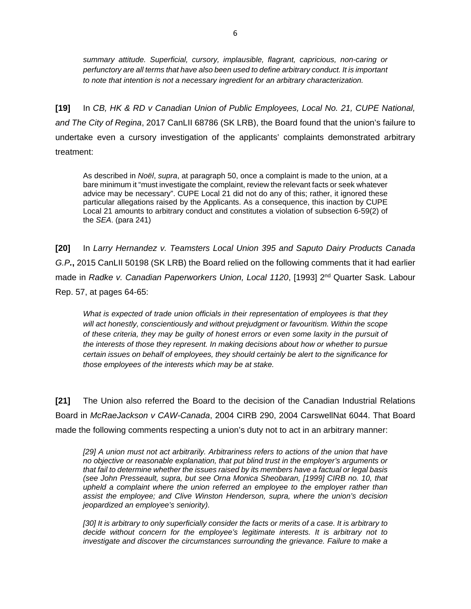*summary attitude. Superficial, cursory, implausible, flagrant, capricious, non-caring or perfunctory are all terms that have also been used to define arbitrary conduct. It is important to note that intention is not a necessary ingredient for an arbitrary characterization.*

**[19]** In *CB, HK & RD v Canadian Union of Public Employees, Local No. 21, CUPE National, and The City of Regina*, 2017 CanLII 68786 (SK LRB), the Board found that the union's failure to undertake even a cursory investigation of the applicants' complaints demonstrated arbitrary treatment:

As described in *Noël*, *supra*, at paragraph 50, once a complaint is made to the union, at a bare minimum it "must investigate the complaint, review the relevant facts or seek whatever advice may be necessary". CUPE Local 21 did not do any of this; rather, it ignored these particular allegations raised by the Applicants. As a consequence, this inaction by CUPE Local 21 amounts to arbitrary conduct and constitutes a violation of subsection 6-59(2) of the *SEA*. (para 241)

**[20]** In *Larry Hernandez v. Teamsters Local Union 395 and Saputo Dairy Products Canada G.P.***,** 2015 CanLII 50198 (SK LRB) the Board relied on the following comments that it had earlier made in *Radke v. Canadian Paperworkers Union, Local 1120*, [1993] 2<sup>nd</sup> Quarter Sask. Labour Rep. 57, at pages 64-65:

*What is expected of trade union officials in their representation of employees is that they will act honestly, conscientiously and without prejudgment or favouritism. Within the scope of these criteria, they may be guilty of honest errors or even some laxity in the pursuit of the interests of those they represent. In making decisions about how or whether to pursue certain issues on behalf of employees, they should certainly be alert to the significance for those employees of the interests which may be at stake.* 

**[21]** The Union also referred the Board to the decision of the Canadian Industrial Relations Board in *McRaeJackson v CAW-Canada*, 2004 CIRB 290, 2004 CarswellNat 6044. That Board made the following comments respecting a union's duty not to act in an arbitrary manner:

*[29] A union must not act arbitrarily. Arbitrariness refers to actions of the union that have no objective or reasonable explanation, that put blind trust in the employer's arguments or that fail to determine whether the issues raised by its members have a factual or legal basis (see John Presseault, supra, but see Orna Monica Sheobaran, [1999] CIRB no. 10, that upheld a complaint where the union referred an employee to the employer rather than assist the employee; and Clive Winston Henderson, supra, where the union's decision jeopardized an employee's seniority).* 

*[30] It is arbitrary to only superficially consider the facts or merits of a case. It is arbitrary to decide without concern for the employee's legitimate interests. It is arbitrary not to investigate and discover the circumstances surrounding the grievance. Failure to make a*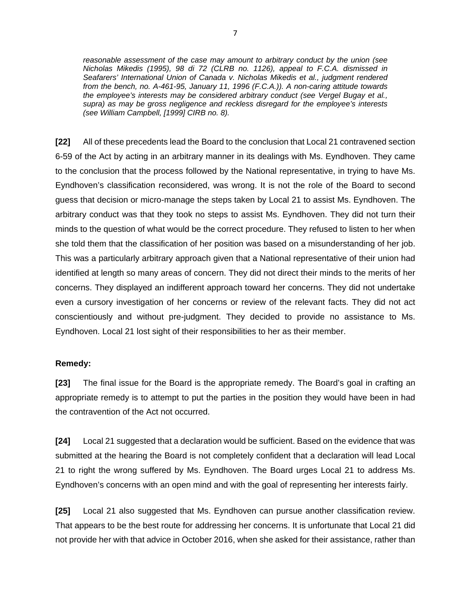*reasonable assessment of the case may amount to arbitrary conduct by the union (see Nicholas Mikedis (1995), 98 di 72 (CLRB no. 1126), appeal to F.C.A. dismissed in Seafarers' International Union of Canada v. Nicholas Mikedis et al., judgment rendered from the bench, no. A-461-95, January 11, 1996 (F.C.A.)). A non-caring attitude towards the employee's interests may be considered arbitrary conduct (see Vergel Bugay et al., supra) as may be gross negligence and reckless disregard for the employee's interests (see William Campbell, [1999] CIRB no. 8).* 

**[22]** All of these precedents lead the Board to the conclusion that Local 21 contravened section 6-59 of the Act by acting in an arbitrary manner in its dealings with Ms. Eyndhoven. They came to the conclusion that the process followed by the National representative, in trying to have Ms. Eyndhoven's classification reconsidered, was wrong. It is not the role of the Board to second guess that decision or micro-manage the steps taken by Local 21 to assist Ms. Eyndhoven. The arbitrary conduct was that they took no steps to assist Ms. Eyndhoven. They did not turn their minds to the question of what would be the correct procedure. They refused to listen to her when she told them that the classification of her position was based on a misunderstanding of her job. This was a particularly arbitrary approach given that a National representative of their union had identified at length so many areas of concern. They did not direct their minds to the merits of her concerns. They displayed an indifferent approach toward her concerns. They did not undertake even a cursory investigation of her concerns or review of the relevant facts. They did not act conscientiously and without pre-judgment. They decided to provide no assistance to Ms. Eyndhoven. Local 21 lost sight of their responsibilities to her as their member.

## **Remedy:**

**[23]** The final issue for the Board is the appropriate remedy. The Board's goal in crafting an appropriate remedy is to attempt to put the parties in the position they would have been in had the contravention of the Act not occurred.

**[24]** Local 21 suggested that a declaration would be sufficient. Based on the evidence that was submitted at the hearing the Board is not completely confident that a declaration will lead Local 21 to right the wrong suffered by Ms. Eyndhoven. The Board urges Local 21 to address Ms. Eyndhoven's concerns with an open mind and with the goal of representing her interests fairly.

**[25]** Local 21 also suggested that Ms. Eyndhoven can pursue another classification review. That appears to be the best route for addressing her concerns. It is unfortunate that Local 21 did not provide her with that advice in October 2016, when she asked for their assistance, rather than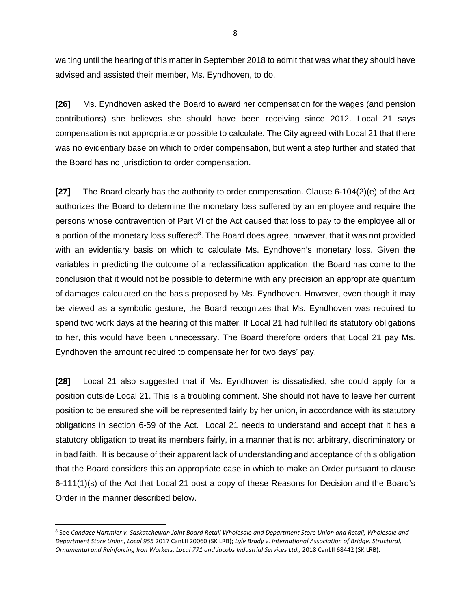waiting until the hearing of this matter in September 2018 to admit that was what they should have advised and assisted their member, Ms. Eyndhoven, to do.

**[26]** Ms. Eyndhoven asked the Board to award her compensation for the wages (and pension contributions) she believes she should have been receiving since 2012. Local 21 says compensation is not appropriate or possible to calculate. The City agreed with Local 21 that there was no evidentiary base on which to order compensation, but went a step further and stated that the Board has no jurisdiction to order compensation.

**[27]** The Board clearly has the authority to order compensation. Clause 6-104(2)(e) of the Act authorizes the Board to determine the monetary loss suffered by an employee and require the persons whose contravention of Part VI of the Act caused that loss to pay to the employee all or a portion of the monetary loss suffered $8$ . The Board does agree, however, that it was not provided with an evidentiary basis on which to calculate Ms. Eyndhoven's monetary loss. Given the variables in predicting the outcome of a reclassification application, the Board has come to the conclusion that it would not be possible to determine with any precision an appropriate quantum of damages calculated on the basis proposed by Ms. Eyndhoven. However, even though it may be viewed as a symbolic gesture, the Board recognizes that Ms. Eyndhoven was required to spend two work days at the hearing of this matter. If Local 21 had fulfilled its statutory obligations to her, this would have been unnecessary. The Board therefore orders that Local 21 pay Ms. Eyndhoven the amount required to compensate her for two days' pay.

**[28]** Local 21 also suggested that if Ms. Eyndhoven is dissatisfied, she could apply for a position outside Local 21. This is a troubling comment. She should not have to leave her current position to be ensured she will be represented fairly by her union, in accordance with its statutory obligations in section 6-59 of the Act. Local 21 needs to understand and accept that it has a statutory obligation to treat its members fairly, in a manner that is not arbitrary, discriminatory or in bad faith. It is because of their apparent lack of understanding and acceptance of this obligation that the Board considers this an appropriate case in which to make an Order pursuant to clause 6-111(1)(s) of the Act that Local 21 post a copy of these Reasons for Decision and the Board's Order in the manner described below.

<sup>&</sup>lt;sup>8</sup> See Candace Hartmier v. Saskatchewan Joint Board Retail Wholesale and Department Store Union and Retail, Wholesale and *Department Store Union, Local 955* 2017 CanLII 20060 (SK LRB); *Lyle Brady v. International Association of Bridge, Structural, Ornamental and Reinforcing Iron Workers, Local 771 and Jacobs Industrial Services Ltd.,* 2018 CanLII 68442 (SK LRB).